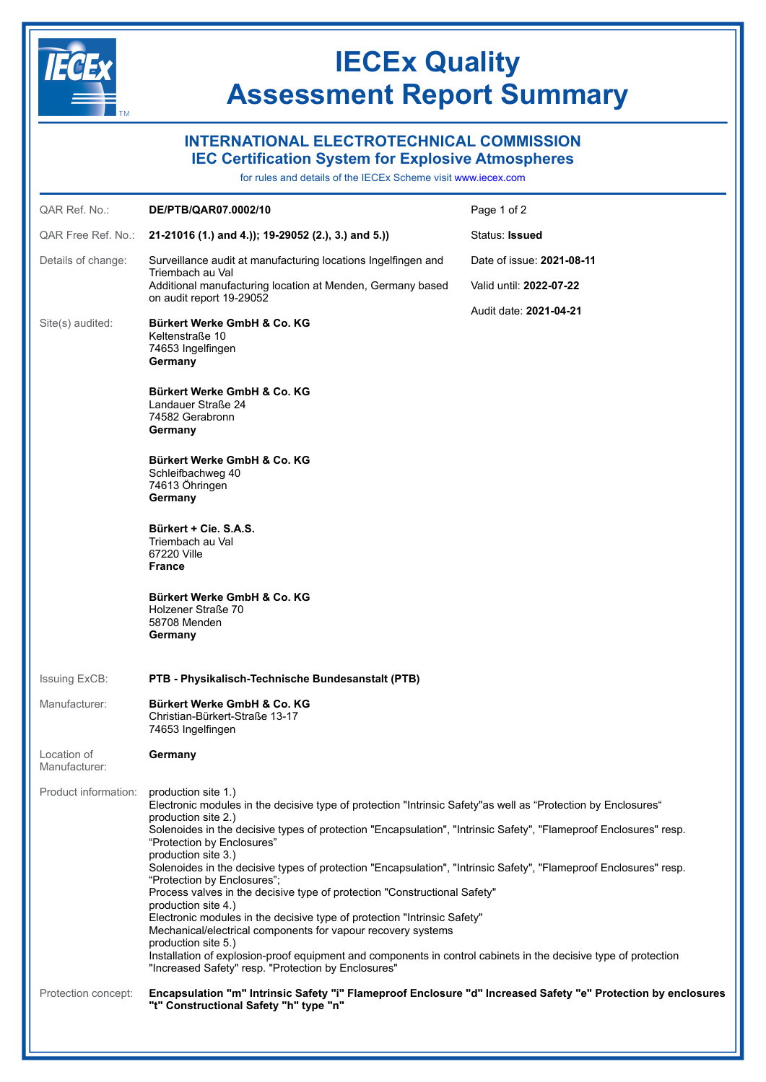

## **IECEx Quality Assessment Report Summary**

## **INTERNATIONAL ELECTROTECHNICAL COMMISSION**

**IEC Certification System for Explosive Atmospheres**

for rules and details of the IECEx Scheme visit [www.iecex.com](https://www.iecex.com)

| QAR Ref. No.:                | DE/PTB/QAR07.0002/10                                                                                                                                                                                                                                                                                                                                                                                                                                                                                                                                                                                                                                                                                                                                                                                                                                                                                                                       | Page 1 of 2                                          |
|------------------------------|--------------------------------------------------------------------------------------------------------------------------------------------------------------------------------------------------------------------------------------------------------------------------------------------------------------------------------------------------------------------------------------------------------------------------------------------------------------------------------------------------------------------------------------------------------------------------------------------------------------------------------------------------------------------------------------------------------------------------------------------------------------------------------------------------------------------------------------------------------------------------------------------------------------------------------------------|------------------------------------------------------|
| QAR Free Ref. No.:           | 21-21016 (1.) and 4.)); 19-29052 (2.), 3.) and 5.))                                                                                                                                                                                                                                                                                                                                                                                                                                                                                                                                                                                                                                                                                                                                                                                                                                                                                        | Status: Issued                                       |
| Details of change:           | Surveillance audit at manufacturing locations Ingelfingen and<br>Triembach au Val<br>Additional manufacturing location at Menden, Germany based<br>on audit report 19-29052                                                                                                                                                                                                                                                                                                                                                                                                                                                                                                                                                                                                                                                                                                                                                                | Date of issue: 2021-08-11<br>Valid until: 2022-07-22 |
| Site(s) audited:             | Bürkert Werke GmbH & Co. KG<br>Keltenstraße 10<br>74653 Ingelfingen<br>Germany                                                                                                                                                                                                                                                                                                                                                                                                                                                                                                                                                                                                                                                                                                                                                                                                                                                             | Audit date: 2021-04-21                               |
|                              | Bürkert Werke GmbH & Co. KG<br>Landauer Straße 24<br>74582 Gerabronn<br>Germany                                                                                                                                                                                                                                                                                                                                                                                                                                                                                                                                                                                                                                                                                                                                                                                                                                                            |                                                      |
|                              | Bürkert Werke GmbH & Co. KG<br>Schleifbachweg 40<br>74613 Öhringen<br>Germany                                                                                                                                                                                                                                                                                                                                                                                                                                                                                                                                                                                                                                                                                                                                                                                                                                                              |                                                      |
|                              | Bürkert + Cie. S.A.S.<br>Triembach au Val<br>67220 Ville<br><b>France</b>                                                                                                                                                                                                                                                                                                                                                                                                                                                                                                                                                                                                                                                                                                                                                                                                                                                                  |                                                      |
|                              | Bürkert Werke GmbH & Co. KG<br>Holzener Straße 70<br>58708 Menden<br>Germany                                                                                                                                                                                                                                                                                                                                                                                                                                                                                                                                                                                                                                                                                                                                                                                                                                                               |                                                      |
| Issuing ExCB:                | PTB - Physikalisch-Technische Bundesanstalt (PTB)                                                                                                                                                                                                                                                                                                                                                                                                                                                                                                                                                                                                                                                                                                                                                                                                                                                                                          |                                                      |
| Manufacturer:                | Bürkert Werke GmbH & Co. KG<br>Christian-Bürkert-Straße 13-17<br>74653 Ingelfingen                                                                                                                                                                                                                                                                                                                                                                                                                                                                                                                                                                                                                                                                                                                                                                                                                                                         |                                                      |
| Location of<br>Manufacturer: | Germany                                                                                                                                                                                                                                                                                                                                                                                                                                                                                                                                                                                                                                                                                                                                                                                                                                                                                                                                    |                                                      |
| Product information:         | production site 1.)<br>Electronic modules in the decisive type of protection "Intrinsic Safety"as well as "Protection by Enclosures"<br>production site 2.)<br>Solenoides in the decisive types of protection "Encapsulation", "Intrinsic Safety", "Flameproof Enclosures" resp.<br>"Protection by Enclosures"<br>production site 3.)<br>Solenoides in the decisive types of protection "Encapsulation", "Intrinsic Safety", "Flameproof Enclosures" resp.<br>"Protection by Enclosures";<br>Process valves in the decisive type of protection "Constructional Safety"<br>production site 4.)<br>Electronic modules in the decisive type of protection "Intrinsic Safety"<br>Mechanical/electrical components for vapour recovery systems<br>production site 5.)<br>Installation of explosion-proof equipment and components in control cabinets in the decisive type of protection<br>"Increased Safety" resp. "Protection by Enclosures" |                                                      |
| Protection concept:          | Encapsulation "m" Intrinsic Safety "i" Flameproof Enclosure "d" Increased Safety "e" Protection by enclosures<br>"t" Constructional Safety "h" type "n"                                                                                                                                                                                                                                                                                                                                                                                                                                                                                                                                                                                                                                                                                                                                                                                    |                                                      |